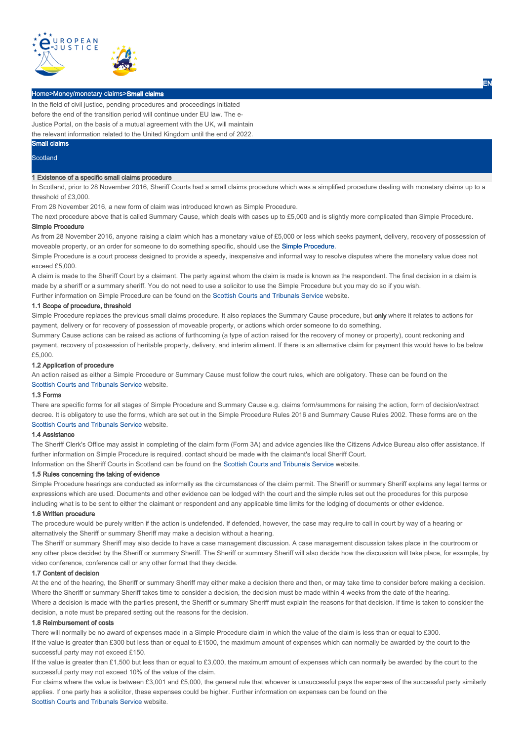

### Home>Money/monetary claims>Small claims

In the field of civil justice, pending procedures and proceedings initiated before the end of the transition period will continue under EU law. The e-Justice Portal, on the basis of a mutual agreement with the UK, will maintain

the relevant information related to the United Kingdom until the end of 2022.

# Small claims

### **Scotland**

# 1 Existence of a specific small claims procedure

In Scotland, prior to 28 November 2016, Sheriff Courts had a small claims procedure which was a simplified procedure dealing with monetary claims up to a threshold of £3,000.

From 28 November 2016, a new form of claim was introduced known as Simple Procedure.

The next procedure above that is called Summary Cause, which deals with cases up to £5,000 and is slightly more complicated than Simple Procedure.

### Simple Procedure

As from 28 November 2016, anyone raising a claim which has a monetary value of £5,000 or less which seeks payment, delivery, recovery of possession of moveable property, or an order for someone to do something specific, should use the Simple Procedure.

Simple Procedure is a court process designed to provide a speedy, inexpensive and informal way to resolve disputes where the monetary value does not exceed £5,000.

A claim is made to the Sheriff Court by a claimant. The party against whom the claim is made is known as the respondent. The final decision in a claim is made by a sheriff or a summary sheriff. You do not need to use a solicitor to use the Simple Procedure but you may do so if you wish.

Further information on Simple Procedure can be found on the Scottish Courts and Tribunals Service website.

## 1.1 Scope of procedure, threshold

Simple Procedure replaces the previous small claims procedure. It also replaces the Summary Cause procedure, but only where it relates to actions for payment, delivery or for recovery of possession of moveable property, or actions which order someone to do something.

Summary Cause actions can be raised as actions of furthcoming (a type of action raised for the recovery of money or property), count reckoning and payment, recovery of possession of heritable property, delivery, and interim aliment. If there is an alternative claim for payment this would have to be below £5,000.

### 1.2 Application of procedure

An action raised as either a Simple Procedure or Summary Cause must follow the court rules, which are obligatory. These can be found on the Scottish Courts and Tribunals Service website.

### 1.3 Forms

There are specific forms for all stages of Simple Procedure and Summary Cause e.g. claims form/summons for raising the action, form of decision/extract decree. It is obligatory to use the forms, which are set out in the Simple Procedure Rules 2016 and Summary Cause Rules 2002. These forms are on the Scottish Courts and Tribunals Service website.

## 1.4 Assistance

The Sheriff Clerk's Office may assist in completing of the claim form (Form 3A) and advice agencies like the Citizens Advice Bureau also offer assistance. If further information on Simple Procedure is required, contact should be made with the claimant's local Sheriff Court.

Information on the Sheriff Courts in Scotland can be found on the Scottish Courts and Tribunals Service website.

# 1.5 Rules concerning the taking of evidence

Simple Procedure hearings are conducted as informally as the circumstances of the claim permit. The Sheriff or summary Sheriff explains any legal terms or expressions which are used. Documents and other evidence can be lodged with the court and the simple rules set out the procedures for this purpose including what is to be sent to either the claimant or respondent and any applicable time limits for the lodging of documents or other evidence.

### 1.6 Written procedure

The procedure would be purely written if the action is undefended. If defended, however, the case may require to call in court by way of a hearing or alternatively the Sheriff or summary Sheriff may make a decision without a hearing.

The Sheriff or summary Sheriff may also decide to have a case management discussion. A case management discussion takes place in the courtroom or any other place decided by the Sheriff or summary Sheriff. The Sheriff or summary Sheriff will also decide how the discussion will take place, for example, by video conference, conference call or any other format that they decide.

# 1.7 Content of decision

At the end of the hearing, the Sheriff or summary Sheriff may either make a decision there and then, or may take time to consider before making a decision. Where the Sheriff or summary Sheriff takes time to consider a decision, the decision must be made within 4 weeks from the date of the hearing. Where a decision is made with the parties present, the Sheriff or summary Sheriff must explain the reasons for that decision. If time is taken to consider the decision, a note must be prepared setting out the reasons for the decision.

## 1.8 Reimbursement of costs

There will normally be no award of expenses made in a Simple Procedure claim in which the value of the claim is less than or equal to £300. If the value is greater than £300 but less than or equal to £1500, the maximum amount of expenses which can normally be awarded by the court to the successful party may not exceed £150.

If the value is greater than £1,500 but less than or equal to £3,000, the maximum amount of expenses which can normally be awarded by the court to the successful party may not exceed 10% of the value of the claim.

For claims where the value is between £3,001 and £5,000, the general rule that whoever is unsuccessful pays the expenses of the successful party similarly applies. If one party has a solicitor, these expenses could be higher. Further information on expenses can be found on the

Scottish Courts and Tribunals Service website.